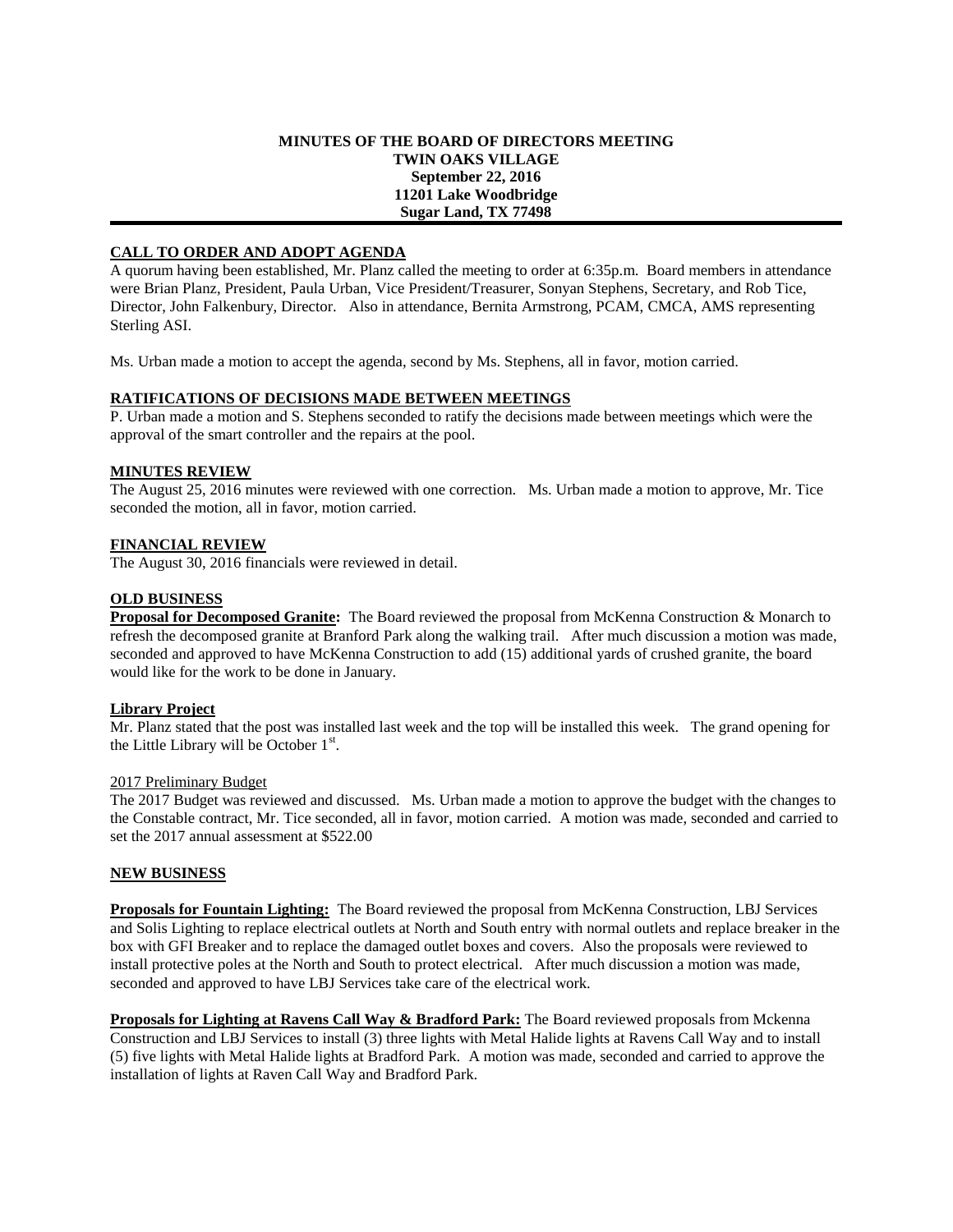#### **MINUTES OF THE BOARD OF DIRECTORS MEETING TWIN OAKS VILLAGE September 22, 2016 11201 Lake Woodbridge Sugar Land, TX 77498**

### **CALL TO ORDER AND ADOPT AGENDA**

A quorum having been established, Mr. Planz called the meeting to order at 6:35p.m. Board members in attendance were Brian Planz, President, Paula Urban, Vice President/Treasurer, Sonyan Stephens, Secretary, and Rob Tice, Director, John Falkenbury, Director. Also in attendance, Bernita Armstrong, PCAM, CMCA, AMS representing Sterling ASI.

Ms. Urban made a motion to accept the agenda, second by Ms. Stephens, all in favor, motion carried.

### **RATIFICATIONS OF DECISIONS MADE BETWEEN MEETINGS**

P. Urban made a motion and S. Stephens seconded to ratify the decisions made between meetings which were the approval of the smart controller and the repairs at the pool.

### **MINUTES REVIEW**

The August 25, 2016 minutes were reviewed with one correction. Ms. Urban made a motion to approve, Mr. Tice seconded the motion, all in favor, motion carried.

# **FINANCIAL REVIEW**

The August 30, 2016 financials were reviewed in detail.

### **OLD BUSINESS**

**Proposal for Decomposed Granite:** The Board reviewed the proposal from McKenna Construction & Monarch to refresh the decomposed granite at Branford Park along the walking trail. After much discussion a motion was made, seconded and approved to have McKenna Construction to add (15) additional yards of crushed granite, the board would like for the work to be done in January.

### **Library Project**

Mr. Planz stated that the post was installed last week and the top will be installed this week. The grand opening for the Little Library will be October  $1<sup>st</sup>$ .

### 2017 Preliminary Budget

The 2017 Budget was reviewed and discussed. Ms. Urban made a motion to approve the budget with the changes to the Constable contract, Mr. Tice seconded, all in favor, motion carried. A motion was made, seconded and carried to set the 2017 annual assessment at \$522.00

### **NEW BUSINESS**

**Proposals for Fountain Lighting:** The Board reviewed the proposal from McKenna Construction, LBJ Services and Solis Lighting to replace electrical outlets at North and South entry with normal outlets and replace breaker in the box with GFI Breaker and to replace the damaged outlet boxes and covers. Also the proposals were reviewed to install protective poles at the North and South to protect electrical. After much discussion a motion was made, seconded and approved to have LBJ Services take care of the electrical work.

**Proposals for Lighting at Ravens Call Way & Bradford Park:** The Board reviewed proposals from Mckenna Construction and LBJ Services to install (3) three lights with Metal Halide lights at Ravens Call Way and to install (5) five lights with Metal Halide lights at Bradford Park. A motion was made, seconded and carried to approve the installation of lights at Raven Call Way and Bradford Park.